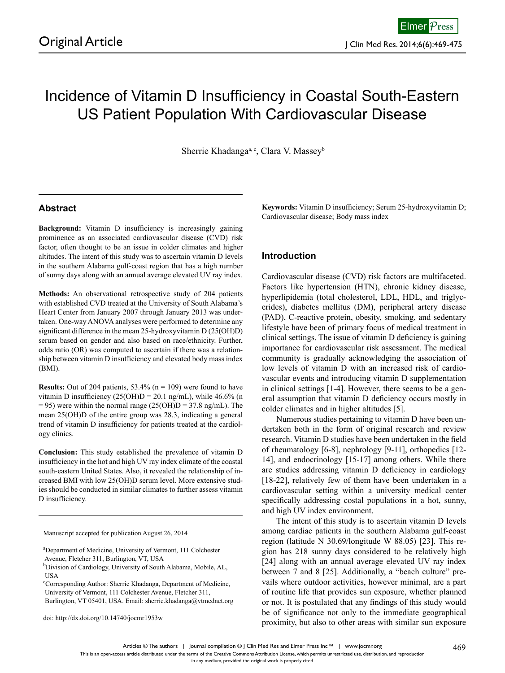# Incidence of Vitamin D Insufficiency in Coastal South-Eastern US Patient Population With Cardiovascular Disease

Sherrie Khadanga<sup>a, c</sup>, Clara V. Massey<sup>b</sup>

# **Abstract**

**Background:** Vitamin D insufficiency is increasingly gaining prominence as an associated cardiovascular disease (CVD) risk factor, often thought to be an issue in colder climates and higher altitudes. The intent of this study was to ascertain vitamin D levels in the southern Alabama gulf-coast region that has a high number of sunny days along with an annual average elevated UV ray index.

**Methods:** An observational retrospective study of 204 patients with established CVD treated at the University of South Alabama's Heart Center from January 2007 through January 2013 was undertaken. One-way ANOVA analyses were performed to determine any significant difference in the mean 25-hydroxyvitamin D (25(OH)D) serum based on gender and also based on race/ethnicity. Further, odds ratio (OR) was computed to ascertain if there was a relationship between vitamin D insufficiency and elevated body mass index (BMI).

**Results:** Out of 204 patients,  $53.4\%$  ( $n = 109$ ) were found to have vitamin D insufficiency  $(25(OH)D = 20.1$  ng/mL), while 46.6% (n  $= 95$ ) were within the normal range (25(OH)D = 37.8 ng/mL). The mean 25(OH)D of the entire group was 28.3, indicating a general trend of vitamin D insufficiency for patients treated at the cardiology clinics.

**Conclusion:** This study established the prevalence of vitamin D insufficiency in the hot and high UV ray index climate of the coastal south-eastern United States. Also, it revealed the relationship of increased BMI with low 25(OH)D serum level. More extensive studies should be conducted in similar climates to further assess vitamin D insufficiency.

Manuscript accepted for publication August 26, 2014

doi: http://dx.doi.org/10.14740/jocmr1953w

**Keywords:** Vitamin D insufficiency; Serum 25-hydroxyvitamin D; Cardiovascular disease; Body mass index

### **Introduction**

Cardiovascular disease (CVD) risk factors are multifaceted. Factors like hypertension (HTN), chronic kidney disease, hyperlipidemia (total cholesterol, LDL, HDL, and triglycerides), diabetes mellitus (DM), peripheral artery disease (PAD), C-reactive protein, obesity, smoking, and sedentary lifestyle have been of primary focus of medical treatment in clinical settings. The issue of vitamin D deficiency is gaining importance for cardiovascular risk assessment. The medical community is gradually acknowledging the association of low levels of vitamin D with an increased risk of cardiovascular events and introducing vitamin D supplementation in clinical settings [1-4]. However, there seems to be a general assumption that vitamin D deficiency occurs mostly in colder climates and in higher altitudes [5].

Numerous studies pertaining to vitamin D have been undertaken both in the form of original research and review research. Vitamin D studies have been undertaken in the field of rheumatology [6-8], nephrology [9-11], orthopedics [12- 14], and endocrinology [15-17] among others. While there are studies addressing vitamin D deficiency in cardiology [18-22], relatively few of them have been undertaken in a cardiovascular setting within a university medical center specifically addressing costal populations in a hot, sunny, and high UV index environment.

The intent of this study is to ascertain vitamin D levels among cardiac patients in the southern Alabama gulf-coast region (latitude N 30.69/longitude W 88.05) [23]. This region has 218 sunny days considered to be relatively high [24] along with an annual average elevated UV ray index between 7 and 8 [25]. Additionally, a "beach culture" prevails where outdoor activities, however minimal, are a part of routine life that provides sun exposure, whether planned or not. It is postulated that any findings of this study would be of significance not only to the immediate geographical proximity, but also to other areas with similar sun exposure

a Department of Medicine, University of Vermont, 111 Colchester Avenue, Fletcher 311, Burlington, VT, USA

<sup>&</sup>lt;sup>b</sup>Division of Cardiology, University of South Alabama, Mobile, AL, **IISA** 

c Corresponding Author: Sherrie Khadanga, Department of Medicine, University of Vermont, 111 Colchester Avenue, Fletcher 311,

Burlington, VT 05401, USA. Email: sherrie.khadanga@vtmednet.org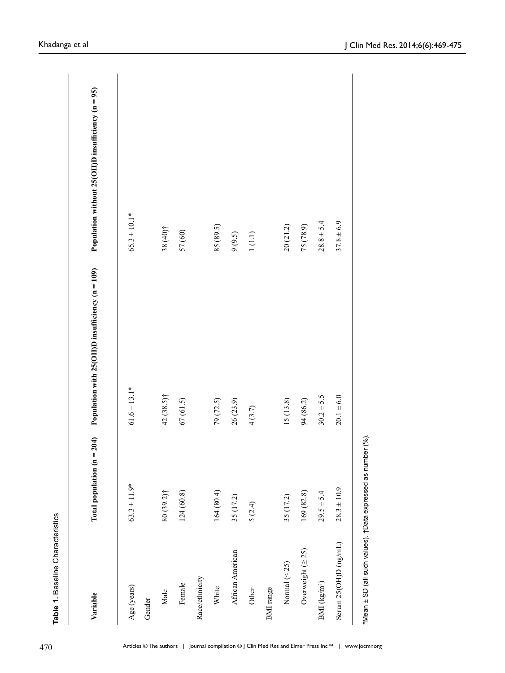| Variable                | Total population $(n = 204)$ | Population with $25(OH)D$ insufficiency ( $n = 109$ ) | Population without $25(OH)D$ insufficiency ( $n = 95$ ) |
|-------------------------|------------------------------|-------------------------------------------------------|---------------------------------------------------------|
| Age (years)             | $63.3 \pm 11.9*$             | $61.6 \pm 13.1*$                                      | $65.3 \pm 10.1*$                                        |
| Gender                  |                              |                                                       |                                                         |
| Male                    | $80(39.2)$ †                 | 42 (38.5)†                                            | 38 (40)†                                                |
| Female                  | 124(60.8)                    | 67(61.5)                                              | 57 (60)                                                 |
| Race/ethnicity          |                              |                                                       |                                                         |
| White                   | 164(80.4)                    | 79 (72.5)                                             | 85 (89.5)                                               |
| African American        | 35 (17.2)                    | 26 (23.9)                                             | 9(9.5)                                                  |
| Other                   | 5(2.4)                       | 4(3.7)                                                | $1(1.1)$                                                |
| BMI range               |                              |                                                       |                                                         |
| Normal $(< 25)$         | 35 (17.2)                    | 15(13.8)                                              | 20(21.2)                                                |
| Overweight $( \geq 25)$ | 169(82.8)                    | 94 (86.2)                                             | 75 (78.9)                                               |
| BMI ( $kg/m^2$ )        | $29.5 \pm 5.4$               | $30.2 + 5.5$                                          | $28.8 \pm 5.4$                                          |
| Serum 25(OH)D (ng/mL)   | $28.3 \pm 10.9$              | $20.1 \pm 6.0$                                        | $37.8 \pm 6.9$                                          |
|                         |                              |                                                       |                                                         |

\*Mean ± SD (all such values). †Data expressed as number (%). \*Mean ± SD (all such values). †Data expressed as number (%).

**Table 1.** Baseline Characteristics

Table 1. Baseline Characteristics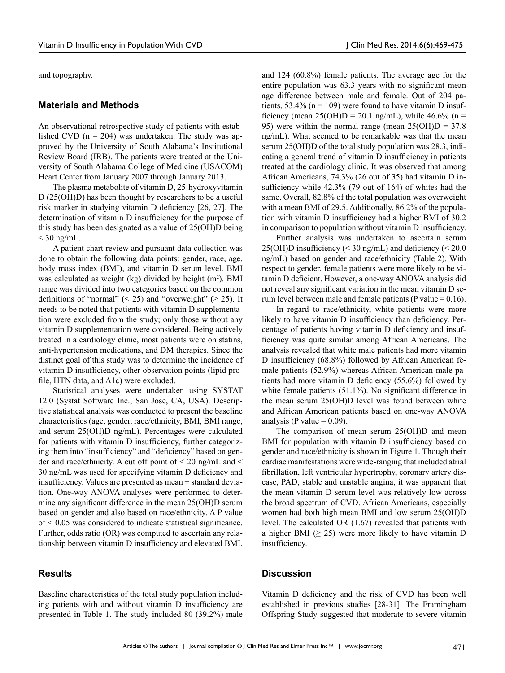and topography.

#### **Materials and Methods**

An observational retrospective study of patients with established CVD ( $n = 204$ ) was undertaken. The study was approved by the University of South Alabama's Institutional Review Board (IRB). The patients were treated at the University of South Alabama College of Medicine (USACOM) Heart Center from January 2007 through January 2013.

The plasma metabolite of vitamin D, 25-hydroxyvitamin D (25(OH)D) has been thought by researchers to be a useful risk marker in studying vitamin D deficiency [26, 27]. The determination of vitamin D insufficiency for the purpose of this study has been designated as a value of 25(OH)D being  $<$  30 ng/mL.

A patient chart review and pursuant data collection was done to obtain the following data points: gender, race, age, body mass index (BMI), and vitamin D serum level. BMI was calculated as weight (kg) divided by height  $(m^2)$ . BMI range was divided into two categories based on the common definitions of "normal" (< 25) and "overweight" ( $\geq$  25). It needs to be noted that patients with vitamin D supplementation were excluded from the study; only those without any vitamin D supplementation were considered. Being actively treated in a cardiology clinic, most patients were on statins, anti-hypertension medications, and DM therapies. Since the distinct goal of this study was to determine the incidence of vitamin D insufficiency, other observation points (lipid profile, HTN data, and A1c) were excluded.

Statistical analyses were undertaken using SYSTAT 12.0 (Systat Software Inc., San Jose, CA, USA). Descriptive statistical analysis was conducted to present the baseline characteristics (age, gender, race/ethnicity, BMI, BMI range, and serum 25(OH)D ng/mL). Percentages were calculated for patients with vitamin D insufficiency, further categorizing them into "insufficiency" and "deficiency" based on gender and race/ethnicity. A cut off point of  $\leq 20$  ng/mL and  $\leq$ 30 ng/mL was used for specifying vitamin D deficiency and insufficiency. Values are presented as mean  $\pm$  standard deviation. One-way ANOVA analyses were performed to determine any significant difference in the mean 25(OH)D serum based on gender and also based on race/ethnicity. A P value of < 0.05 was considered to indicate statistical significance. Further, odds ratio (OR) was computed to ascertain any relationship between vitamin D insufficiency and elevated BMI.

# **Results**

and 124 (60.8%) female patients. The average age for the entire population was 63.3 years with no significant mean age difference between male and female. Out of 204 patients, 53.4% ( $n = 109$ ) were found to have vitamin D insufficiency (mean  $25(OH)D = 20.1$  ng/mL), while 46.6% (n = 95) were within the normal range (mean  $25(OH)D = 37.8$ ng/mL). What seemed to be remarkable was that the mean serum 25(OH)D of the total study population was 28.3, indicating a general trend of vitamin D insufficiency in patients treated at the cardiology clinic. It was observed that among African Americans, 74.3% (26 out of 35) had vitamin D insufficiency while 42.3% (79 out of 164) of whites had the same. Overall, 82.8% of the total population was overweight with a mean BMI of 29.5. Additionally, 86.2% of the population with vitamin D insufficiency had a higher BMI of 30.2 in comparison to population without vitamin D insufficiency.

Further analysis was undertaken to ascertain serum  $25(OH)D$  insufficiency (< 30 ng/mL) and deficiency (< 20.0 ng/mL) based on gender and race/ethnicity (Table 2). With respect to gender, female patients were more likely to be vitamin D deficient. However, a one-way ANOVA analysis did not reveal any significant variation in the mean vitamin D serum level between male and female patients (P value =  $0.16$ ).

In regard to race/ethnicity, white patients were more likely to have vitamin D insufficiency than deficiency. Percentage of patients having vitamin D deficiency and insufficiency was quite similar among African Americans. The analysis revealed that white male patients had more vitamin D insufficiency (68.8%) followed by African American female patients (52.9%) whereas African American male patients had more vitamin D deficiency (55.6%) followed by white female patients (51.1%). No significant difference in the mean serum 25(OH)D level was found between white and African American patients based on one-way ANOVA analysis (P value  $= 0.09$ ).

The comparison of mean serum 25(OH)D and mean BMI for population with vitamin D insufficiency based on gender and race/ethnicity is shown in Figure 1. Though their cardiac manifestations were wide-ranging that included atrial fibrillation, left ventricular hypertrophy, coronary artery disease, PAD, stable and unstable angina, it was apparent that the mean vitamin D serum level was relatively low across the broad spectrum of CVD. African Americans, especially women had both high mean BMI and low serum 25(OH)D level. The calculated OR (1.67) revealed that patients with a higher BMI  $(≥ 25)$  were more likely to have vitamin D insufficiency.

# **Discussion**

Baseline characteristics of the total study population including patients with and without vitamin D insufficiency are presented in Table 1. The study included 80 (39.2%) male

Vitamin D deficiency and the risk of CVD has been well established in previous studies [28-31]. The Framingham Offspring Study suggested that moderate to severe vitamin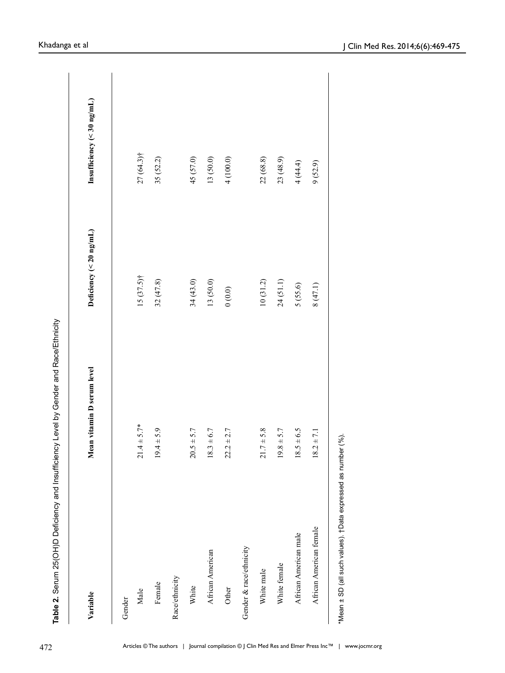| Variable                                                     | Mean vitamin D serum level     | Deficiency ( $<$ 20 ng/mL) | Insufficiency (< $30$ ng/mL) |
|--------------------------------------------------------------|--------------------------------|----------------------------|------------------------------|
|                                                              |                                |                            |                              |
| Gender                                                       |                                |                            |                              |
| Male                                                         | $21.4 \pm 5.7*$                | $15(37.5)$ †               | $27(64.3)$ †                 |
| Female                                                       | $19.4 \pm 5.9$                 | 32(47.8)                   | 35 (52.2)                    |
| Race/ethnicity                                               |                                |                            |                              |
| White                                                        | $20.5 \pm 5.7$                 | 34(43.0)                   | 45 (57.0)                    |
| African American                                             | $18.3 \pm 6.7$                 | 13 (50.0)                  | 13 (50.0)                    |
| Other                                                        | $22.2 \pm 2.7$                 | (0.0)0                     | 4(100.0)                     |
| Gender & race/ethnicity                                      |                                |                            |                              |
| White male                                                   | $21.7 \pm 5.8$                 | 10(31.2)                   | 22 (68.8)                    |
| White female                                                 | $.8 \pm 5.7$<br>$\overline{5}$ | 24(51.1)                   | 23(48.9)                     |
| African American male                                        | $18.5 \pm 6.5$                 | 5 (55.6)                   | 4(44.4)                      |
| African American female                                      | $18.2 \pm 7.1$                 | 8(47.1)                    | 9(52.9)                      |
| *Mean ± SD (all such values). tData expressed as number (%). |                                |                            |                              |

**Table 2.** Serum 25(OH)D Deficiency and Insufficiency Level by Gender and Race/Ethnicity

Table 2. Serum 25(OH)D Deficiency and Insufficiency Level by Gender and Race/Ethnicity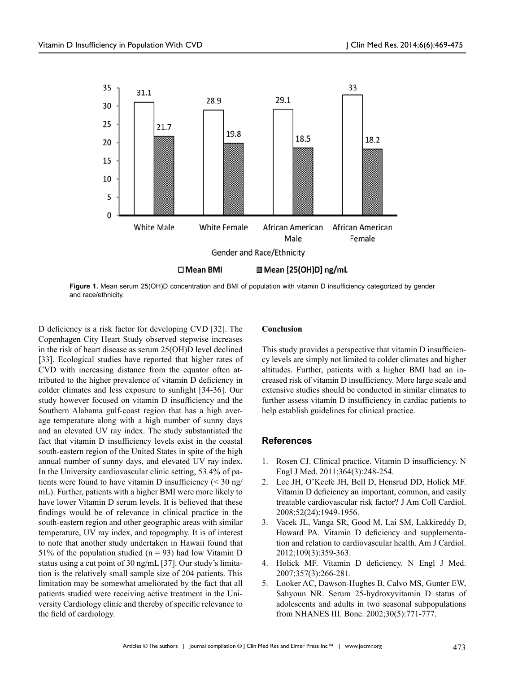

**Figure 1.** Mean serum 25(OH)D concentration and BMI of population with vitamin D insufficiency categorized by gender and race/ethnicity.

D deficiency is a risk factor for developing CVD [32]. The Copenhagen City Heart Study observed stepwise increases in the risk of heart disease as serum 25(OH)D level declined [33]. Ecological studies have reported that higher rates of CVD with increasing distance from the equator often attributed to the higher prevalence of vitamin D deficiency in colder climates and less exposure to sunlight [34-36]. Our study however focused on vitamin D insufficiency and the Southern Alabama gulf-coast region that has a high average temperature along with a high number of sunny days and an elevated UV ray index. The study substantiated the fact that vitamin D insufficiency levels exist in the coastal south-eastern region of the United States in spite of the high annual number of sunny days, and elevated UV ray index. In the University cardiovascular clinic setting, 53.4% of patients were found to have vitamin D insufficiency  $\left($  < 30 ng/ mL). Further, patients with a higher BMI were more likely to have lower Vitamin D serum levels. It is believed that these findings would be of relevance in clinical practice in the south-eastern region and other geographic areas with similar temperature, UV ray index, and topography. It is of interest to note that another study undertaken in Hawaii found that 51% of the population studied ( $n = 93$ ) had low Vitamin D status using a cut point of 30 ng/mL [37]. Our study's limitation is the relatively small sample size of 204 patients. This limitation may be somewhat ameliorated by the fact that all patients studied were receiving active treatment in the University Cardiology clinic and thereby of specific relevance to the field of cardiology.

## **Conclusion**

This study provides a perspective that vitamin D insufficiency levels are simply not limited to colder climates and higher altitudes. Further, patients with a higher BMI had an increased risk of vitamin D insufficiency. More large scale and extensive studies should be conducted in similar climates to further assess vitamin D insufficiency in cardiac patients to help establish guidelines for clinical practice.

### **References**

- 1. Rosen CJ. Clinical practice. Vitamin D insufficiency. N Engl J Med. 2011;364(3):248-254.
- 2. Lee JH, O'Keefe JH, Bell D, Hensrud DD, Holick MF. Vitamin D deficiency an important, common, and easily treatable cardiovascular risk factor? J Am Coll Cardiol. 2008;52(24):1949-1956.
- 3. Vacek JL, Vanga SR, Good M, Lai SM, Lakkireddy D, Howard PA. Vitamin D deficiency and supplementation and relation to cardiovascular health. Am J Cardiol. 2012;109(3):359-363.
- 4. Holick MF. Vitamin D deficiency. N Engl J Med. 2007;357(3):266-281.
- 5. Looker AC, Dawson-Hughes B, Calvo MS, Gunter EW, Sahyoun NR. Serum 25-hydroxyvitamin D status of adolescents and adults in two seasonal subpopulations from NHANES III. Bone. 2002;30(5):771-777.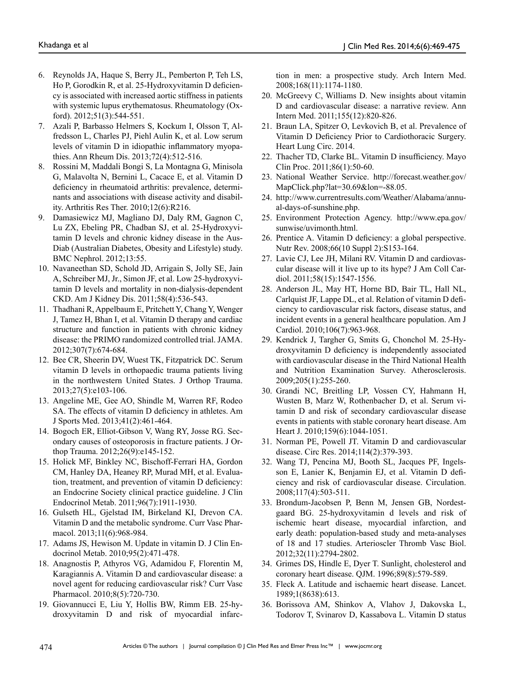- 6. Reynolds JA, Haque S, Berry JL, Pemberton P, Teh LS, Ho P, Gorodkin R, et al. 25-Hydroxyvitamin D deficiency is associated with increased aortic stiffness in patients with systemic lupus erythematosus. Rheumatology (Oxford). 2012;51(3):544-551.
- 7. Azali P, Barbasso Helmers S, Kockum I, Olsson T, Alfredsson L, Charles PJ, Piehl Aulin K, et al. Low serum levels of vitamin D in idiopathic inflammatory myopathies. Ann Rheum Dis. 2013;72(4):512-516.
- 8. Rossini M, Maddali Bongi S, La Montagna G, Minisola G, Malavolta N, Bernini L, Cacace E, et al. Vitamin D deficiency in rheumatoid arthritis: prevalence, determinants and associations with disease activity and disability. Arthritis Res Ther. 2010;12(6):R216.
- 9. Damasiewicz MJ, Magliano DJ, Daly RM, Gagnon C, Lu ZX, Ebeling PR, Chadban SJ, et al. 25-Hydroxyvitamin D levels and chronic kidney disease in the Aus-Diab (Australian Diabetes, Obesity and Lifestyle) study. BMC Nephrol. 2012;13:55.
- 10. Navaneethan SD, Schold JD, Arrigain S, Jolly SE, Jain A, Schreiber MJ, Jr., Simon JF, et al. Low 25-hydroxyvitamin D levels and mortality in non-dialysis-dependent CKD. Am J Kidney Dis. 2011;58(4):536-543.
- 11. Thadhani R, Appelbaum E, Pritchett Y, Chang Y, Wenger J, Tamez H, Bhan I, et al. Vitamin D therapy and cardiac structure and function in patients with chronic kidney disease: the PRIMO randomized controlled trial. JAMA. 2012;307(7):674-684.
- 12. Bee CR, Sheerin DV, Wuest TK, Fitzpatrick DC. Serum vitamin D levels in orthopaedic trauma patients living in the northwestern United States. J Orthop Trauma. 2013;27(5):e103-106.
- 13. Angeline ME, Gee AO, Shindle M, Warren RF, Rodeo SA. The effects of vitamin D deficiency in athletes. Am J Sports Med. 2013;41(2):461-464.
- 14. Bogoch ER, Elliot-Gibson V, Wang RY, Josse RG. Secondary causes of osteoporosis in fracture patients. J Orthop Trauma. 2012;26(9):e145-152.
- 15. Holick MF, Binkley NC, Bischoff-Ferrari HA, Gordon CM, Hanley DA, Heaney RP, Murad MH, et al. Evaluation, treatment, and prevention of vitamin D deficiency: an Endocrine Society clinical practice guideline. J Clin Endocrinol Metab. 2011;96(7):1911-1930.
- 16. Gulseth HL, Gjelstad IM, Birkeland KI, Drevon CA. Vitamin D and the metabolic syndrome. Curr Vasc Pharmacol. 2013;11(6):968-984.
- 17. Adams JS, Hewison M. Update in vitamin D. J Clin Endocrinol Metab. 2010;95(2):471-478.
- 18. Anagnostis P, Athyros VG, Adamidou F, Florentin M, Karagiannis A. Vitamin D and cardiovascular disease: a novel agent for reducing cardiovascular risk? Curr Vasc Pharmacol. 2010;8(5):720-730.
- 19. Giovannucci E, Liu Y, Hollis BW, Rimm EB. 25-hydroxyvitamin D and risk of myocardial infarc-

tion in men: a prospective study. Arch Intern Med. 2008;168(11):1174-1180.

- 20. McGreevy C, Williams D. New insights about vitamin D and cardiovascular disease: a narrative review. Ann Intern Med. 2011;155(12):820-826.
- 21. Braun LA, Spitzer O, Levkovich B, et al. Prevalence of Vitamin D Deficiency Prior to Cardiothoracic Surgery. Heart Lung Circ. 2014.
- 22. Thacher TD, Clarke BL. Vitamin D insufficiency. Mayo Clin Proc. 2011;86(1):50-60.
- 23. National Weather Service. http://forecast.weather.gov/ MapClick.php?lat=30.69&lon=-88.05.
- 24. http://www.currentresults.com/Weather/Alabama/annual-days-of-sunshine.php.
- 25. Environment Protection Agency. http://www.epa.gov/ sunwise/uvimonth.html.
- 26. Prentice A. Vitamin D deficiency: a global perspective. Nutr Rev. 2008;66(10 Suppl 2):S153-164.
- 27. Lavie CJ, Lee JH, Milani RV. Vitamin D and cardiovascular disease will it live up to its hype? J Am Coll Cardiol. 2011;58(15):1547-1556.
- 28. Anderson JL, May HT, Horne BD, Bair TL, Hall NL, Carlquist JF, Lappe DL, et al. Relation of vitamin D deficiency to cardiovascular risk factors, disease status, and incident events in a general healthcare population. Am J Cardiol. 2010;106(7):963-968.
- 29. Kendrick J, Targher G, Smits G, Chonchol M. 25-Hydroxyvitamin D deficiency is independently associated with cardiovascular disease in the Third National Health and Nutrition Examination Survey. Atherosclerosis. 2009;205(1):255-260.
- 30. Grandi NC, Breitling LP, Vossen CY, Hahmann H, Wusten B, Marz W, Rothenbacher D, et al. Serum vitamin D and risk of secondary cardiovascular disease events in patients with stable coronary heart disease. Am Heart J. 2010;159(6):1044-1051.
- 31. Norman PE, Powell JT. Vitamin D and cardiovascular disease. Circ Res. 2014;114(2):379-393.
- 32. Wang TJ, Pencina MJ, Booth SL, Jacques PF, Ingelsson E, Lanier K, Benjamin EJ, et al. Vitamin D deficiency and risk of cardiovascular disease. Circulation. 2008;117(4):503-511.
- 33. Brondum-Jacobsen P, Benn M, Jensen GB, Nordestgaard BG. 25-hydroxyvitamin d levels and risk of ischemic heart disease, myocardial infarction, and early death: population-based study and meta-analyses of 18 and 17 studies. Arterioscler Thromb Vasc Biol. 2012;32(11):2794-2802.
- 34. Grimes DS, Hindle E, Dyer T. Sunlight, cholesterol and coronary heart disease. QJM. 1996;89(8):579-589.
- 35. Fleck A. Latitude and ischaemic heart disease. Lancet. 1989;1(8638):613.
- 36. Borissova AM, Shinkov A, Vlahov J, Dakovska L, Todorov T, Svinarov D, Kassabova L. Vitamin D status